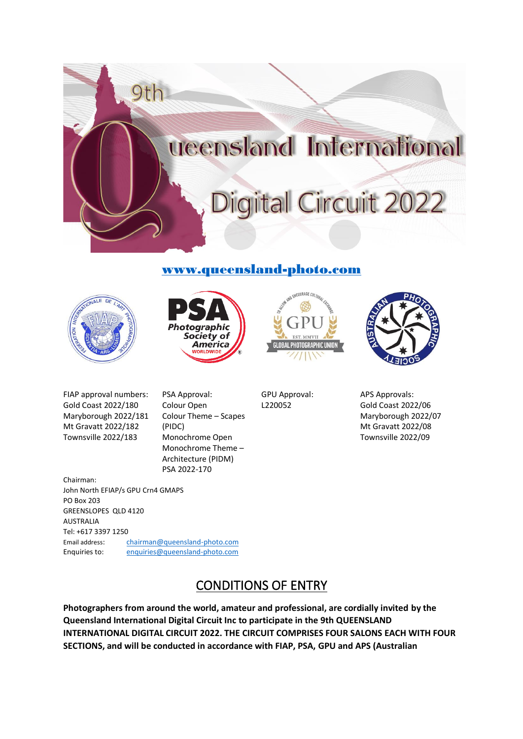

# [www.queensland-photo.com](http://www.queensland-photo.com/)









FIAP approval numbers: Gold Coast 2022/180 Maryborough 2022/181 Mt Gravatt 2022/182 Townsville 2022/183

GREENSLOPES QLD 4120

John North EFIAP/s GPU Crn4 GMAPS

Chairman:

PO Box 203

PSA Approval: Colour Open Colour Theme – Scapes (PIDC) Monochrome Open Monochrome Theme – Architecture (PIDM) PSA 2022-170

GPU Approval: L220052

APS Approvals: Gold Coast 2022/06 Maryborough 2022/07 Mt Gravatt 2022/08 Townsville 2022/09

AUSTRALIA Tel: +617 3397 1250 Email address: [chairman@queensland-photo.com](mailto:chairman@queensland-photo.com) Enquiries to: [enquiries@queensland-photo.com](mailto:enquiries@queensland-photo.com) 

# CONDITIONS OF ENTRY

**Photographers from around the world, amateur and professional, are cordially invited by the Queensland International Digital Circuit Inc to participate in the 9th QUEENSLAND INTERNATIONAL DIGITAL CIRCUIT 2022. THE CIRCUIT COMPRISES FOUR SALONS EACH WITH FOUR SECTIONS, and will be conducted in accordance with FIAP, PSA, GPU and APS (Australian**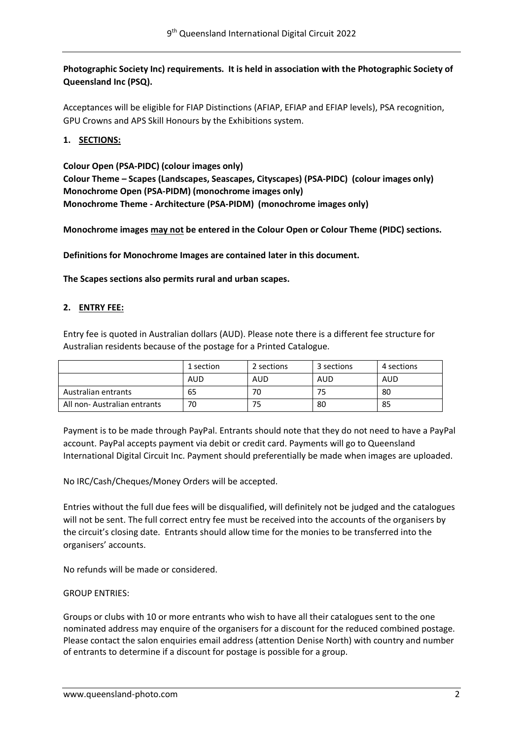# **Photographic Society Inc) requirements. It is held in association with the Photographic Society of Queensland Inc (PSQ).**

Acceptances will be eligible for FIAP Distinctions (AFIAP, EFIAP and EFIAP levels), PSA recognition, GPU Crowns and APS Skill Honours by the Exhibitions system.

# **1. SECTIONS:**

**Colour Open (PSA-PIDC) (colour images only) Colour Theme – Scapes (Landscapes, Seascapes, Cityscapes) (PSA-PIDC) (colour images only) Monochrome Open (PSA-PIDM) (monochrome images only) Monochrome Theme - Architecture (PSA-PIDM) (monochrome images only)**

**Monochrome images may not be entered in the Colour Open or Colour Theme (PIDC) sections.**

**Definitions for Monochrome Images are contained later in this document.**

**The Scapes sections also permits rural and urban scapes.** 

# **2. ENTRY FEE:**

Entry fee is quoted in Australian dollars (AUD). Please note there is a different fee structure for Australian residents because of the postage for a Printed Catalogue.

|                             | 1 section | 2 sections | 3 sections | 4 sections |
|-----------------------------|-----------|------------|------------|------------|
|                             | AUD       | AUD        | AUD        | AUD        |
| Australian entrants         | 65        | 70         |            | 80         |
| All non-Australian entrants | 70        | 75         | 80         | 85         |

Payment is to be made through PayPal. Entrants should note that they do not need to have a PayPal account. PayPal accepts payment via debit or credit card. Payments will go to Queensland International Digital Circuit Inc. Payment should preferentially be made when images are uploaded.

No IRC/Cash/Cheques/Money Orders will be accepted.

Entries without the full due fees will be disqualified, will definitely not be judged and the catalogues will not be sent. The full correct entry fee must be received into the accounts of the organisers by the circuit's closing date. Entrants should allow time for the monies to be transferred into the organisers' accounts.

No refunds will be made or considered.

GROUP ENTRIES:

Groups or clubs with 10 or more entrants who wish to have all their catalogues sent to the one nominated address may enquire of the organisers for a discount for the reduced combined postage. Please contact the salon enquiries email address (attention Denise North) with country and number of entrants to determine if a discount for postage is possible for a group.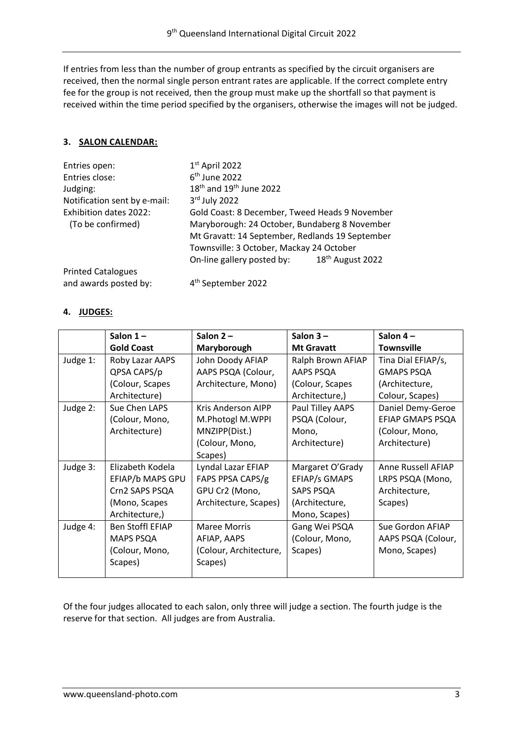If entries from less than the number of group entrants as specified by the circuit organisers are received, then the normal single person entrant rates are applicable. If the correct complete entry fee for the group is not received, then the group must make up the shortfall so that payment is received within the time period specified by the organisers, otherwise the images will not be judged.

# **3. SALON CALENDAR:**

| Entries open:                | $1st$ April 2022                                |                              |  |
|------------------------------|-------------------------------------------------|------------------------------|--|
| Entries close:               | $6th$ June 2022                                 |                              |  |
| Judging:                     | $18th$ and $19th$ June 2022                     |                              |  |
| Notification sent by e-mail: | $3rd$ July 2022                                 |                              |  |
| Exhibition dates 2022:       | Gold Coast: 8 December, Tweed Heads 9 November  |                              |  |
| (To be confirmed)            | Maryborough: 24 October, Bundaberg 8 November   |                              |  |
|                              | Mt Gravatt: 14 September, Redlands 19 September |                              |  |
|                              | Townsville: 3 October, Mackay 24 October        |                              |  |
|                              | On-line gallery posted by:                      | 18 <sup>th</sup> August 2022 |  |
| <b>Printed Catalogues</b>    |                                                 |                              |  |
| and awards posted by:        | 4 <sup>th</sup> September 2022                  |                              |  |

# **4. JUDGES:**

|          | Salon $1-$        | Salon $2 -$            | Salon $3-$           | Salon $4-$         |
|----------|-------------------|------------------------|----------------------|--------------------|
|          | <b>Gold Coast</b> | Maryborough            | <b>Mt Gravatt</b>    | <b>Townsville</b>  |
| Judge 1: | Roby Lazar AAPS   | John Doody AFIAP       | Ralph Brown AFIAP    | Tina Dial EFIAP/s, |
|          | QPSA CAPS/p       | AAPS PSQA (Colour,     | AAPS PSQA            | <b>GMAPS PSQA</b>  |
|          | (Colour, Scapes   | Architecture, Mono)    | (Colour, Scapes      | (Architecture,     |
|          | Architecture)     |                        | Architecture,)       | Colour, Scapes)    |
| Judge 2: | Sue Chen LAPS     | Kris Anderson AIPP     | Paul Tilley AAPS     | Daniel Demy-Geroe  |
|          | (Colour, Mono,    | M.Photogl M.WPPI       | PSQA (Colour,        | EFIAP GMAPS PSQA   |
|          | Architecture)     | MNZIPP(Dist.)          | Mono,                | (Colour, Mono,     |
|          |                   | (Colour, Mono,         | Architecture)        | Architecture)      |
|          |                   | Scapes)                |                      |                    |
| Judge 3: | Elizabeth Kodela  | Lyndal Lazar EFIAP     | Margaret O'Grady     | Anne Russell AFIAP |
|          | EFIAP/b MAPS GPU  | FAPS PPSA CAPS/g       | <b>EFIAP/s GMAPS</b> | LRPS PSQA (Mono,   |
|          | Crn2 SAPS PSQA    | GPU Cr2 (Mono,         | SAPS PSQA            | Architecture,      |
|          | (Mono, Scapes     | Architecture, Scapes)  | (Architecture,       | Scapes)            |
|          | Architecture,)    |                        | Mono, Scapes)        |                    |
| Judge 4: | Ben Stoffl EFIAP  | <b>Maree Morris</b>    | Gang Wei PSQA        | Sue Gordon AFIAP   |
|          | <b>MAPS PSQA</b>  | AFIAP, AAPS            | (Colour, Mono,       | AAPS PSQA (Colour, |
|          | (Colour, Mono,    | (Colour, Architecture, | Scapes)              | Mono, Scapes)      |
|          | Scapes)           | Scapes)                |                      |                    |
|          |                   |                        |                      |                    |

Of the four judges allocated to each salon, only three will judge a section. The fourth judge is the reserve for that section. All judges are from Australia.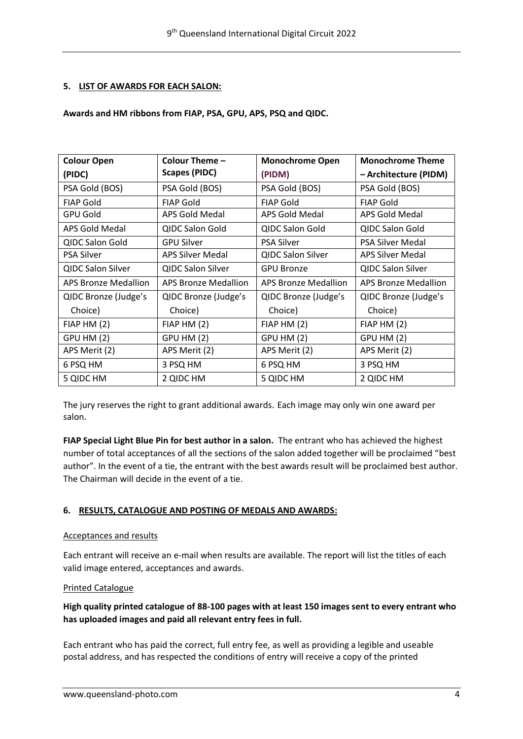# **5. LIST OF AWARDS FOR EACH SALON:**

### **Awards and HM ribbons from FIAP, PSA, GPU, APS, PSQ and QIDC.**

| <b>Colour Open</b>       | Colour Theme -           | <b>Monochrome Open</b>   | <b>Monochrome Theme</b>  |
|--------------------------|--------------------------|--------------------------|--------------------------|
| (PIDC)                   | <b>Scapes (PIDC)</b>     | (PIDM)                   | - Architecture (PIDM)    |
| PSA Gold (BOS)           | PSA Gold (BOS)           | PSA Gold (BOS)           | PSA Gold (BOS)           |
| <b>FIAP Gold</b>         | <b>FIAP Gold</b>         | <b>FIAP Gold</b>         | <b>FIAP Gold</b>         |
| <b>GPU Gold</b>          | APS Gold Medal           | APS Gold Medal           | APS Gold Medal           |
| APS Gold Medal           | <b>QIDC Salon Gold</b>   | QIDC Salon Gold          | QIDC Salon Gold          |
| QIDC Salon Gold          | <b>GPU Silver</b>        | <b>PSA Silver</b>        | <b>PSA Silver Medal</b>  |
| <b>PSA Silver</b>        | <b>APS Silver Medal</b>  | <b>QIDC Salon Silver</b> | <b>APS Silver Medal</b>  |
| <b>QIDC Salon Silver</b> | <b>QIDC Salon Silver</b> | <b>GPU Bronze</b>        | <b>QIDC Salon Silver</b> |
| APS Bronze Medallion     | APS Bronze Medallion     | APS Bronze Medallion     | APS Bronze Medallion     |
| QIDC Bronze (Judge's     | QIDC Bronze (Judge's     | QIDC Bronze (Judge's     | QIDC Bronze (Judge's     |
| Choice)                  | Choice)                  | Choice)                  | Choice)                  |
| FIAPHM(2)                | FIAPHM(2)                | FIAPHM(2)                | FIAPHM(2)                |
| <b>GPU HM (2)</b>        | <b>GPU HM (2)</b>        | <b>GPU HM (2)</b>        | GPU HM (2)               |
| APS Merit (2)            | APS Merit (2)            | APS Merit (2)            | APS Merit (2)            |
| 6 PSQ HM                 | 3 PSQ HM                 | 6 PSQ HM                 | 3 PSQ HM                 |
| 5 QIDC HM                | 2 QIDC HM                | 5 QIDC HM                | 2 QIDC HM                |

The jury reserves the right to grant additional awards. Each image may only win one award per salon.

**FIAP Special Light Blue Pin for best author in a salon.** The entrant who has achieved the highest number of total acceptances of all the sections of the salon added together will be proclaimed "best author". In the event of a tie, the entrant with the best awards result will be proclaimed best author. The Chairman will decide in the event of a tie.

# **6. RESULTS, CATALOGUE AND POSTING OF MEDALS AND AWARDS:**

# Acceptances and results

Each entrant will receive an e-mail when results are available. The report will list the titles of each valid image entered, acceptances and awards.

#### Printed Catalogue

# **High quality printed catalogue of 88-100 pages with at least 150 images sent to every entrant who has uploaded images and paid all relevant entry fees in full.**

Each entrant who has paid the correct, full entry fee, as well as providing a legible and useable postal address, and has respected the conditions of entry will receive a copy of the printed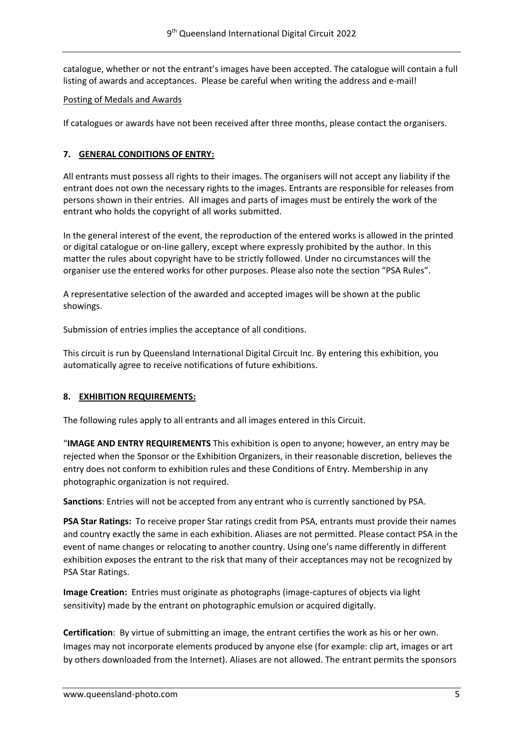catalogue, whether or not the entrant's images have been accepted. The catalogue will contain a full listing of awards and acceptances. Please be careful when writing the address and e-mail!

#### Posting of Medals and Awards

If catalogues or awards have not been received after three months, please contact the organisers.

### **7. GENERAL CONDITIONS OF ENTRY:**

All entrants must possess all rights to their images. The organisers will not accept any liability if the entrant does not own the necessary rights to the images. Entrants are responsible for releases from persons shown in their entries. All images and parts of images must be entirely the work of the entrant who holds the copyright of all works submitted.

In the general interest of the event, the reproduction of the entered works is allowed in the printed or digital catalogue or on-line gallery, except where expressly prohibited by the author. In this matter the rules about copyright have to be strictly followed. Under no circumstances will the organiser use the entered works for other purposes. Please also note the section "PSA Rules".

A representative selection of the awarded and accepted images will be shown at the public showings.

Submission of entries implies the acceptance of all conditions.

This circuit is run by Queensland International Digital Circuit Inc. By entering this exhibition, you automatically agree to receive notifications of future exhibitions.

#### **8. EXHIBITION REQUIREMENTS:**

The following rules apply to all entrants and all images entered in this Circuit.

"**IMAGE AND ENTRY REQUIREMENTS** This exhibition is open to anyone; however, an entry may be rejected when the Sponsor or the Exhibition Organizers, in their reasonable discretion, believes the entry does not conform to exhibition rules and these Conditions of Entry. Membership in any photographic organization is not required.

**Sanctions**: Entries will not be accepted from any entrant who is currently sanctioned by PSA.

**PSA Star Ratings:** To receive proper Star ratings credit from PSA, entrants must provide their names and country exactly the same in each exhibition. Aliases are not permitted. Please contact PSA in the event of name changes or relocating to another country. Using one's name differently in different exhibition exposes the entrant to the risk that many of their acceptances may not be recognized by PSA Star Ratings.

**Image Creation:** Entries must originate as photographs (image-captures of objects via light sensitivity) made by the entrant on photographic emulsion or acquired digitally.

**Certification**: By virtue of submitting an image, the entrant certifies the work as his or her own. Images may not incorporate elements produced by anyone else (for example: clip art, images or art by others downloaded from the Internet). Aliases are not allowed. The entrant permits the sponsors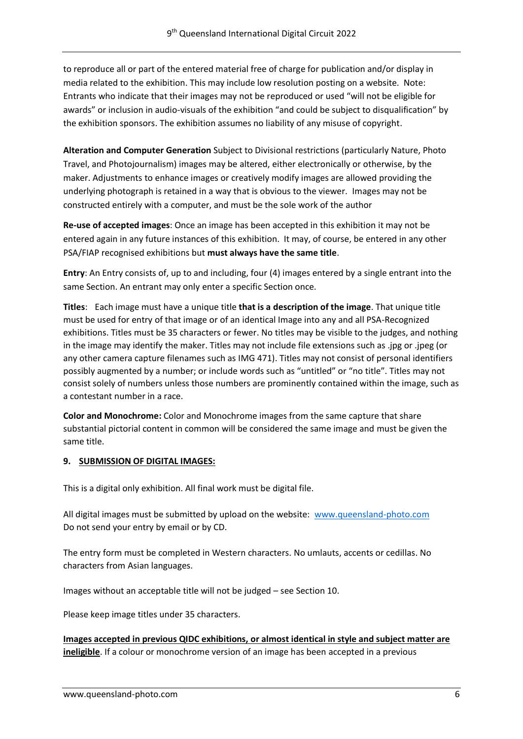to reproduce all or part of the entered material free of charge for publication and/or display in media related to the exhibition. This may include low resolution posting on a website. Note: Entrants who indicate that their images may not be reproduced or used "will not be eligible for awards" or inclusion in audio-visuals of the exhibition "and could be subject to disqualification" by the exhibition sponsors. The exhibition assumes no liability of any misuse of copyright.

**Alteration and Computer Generation** Subject to Divisional restrictions (particularly Nature, Photo Travel, and Photojournalism) images may be altered, either electronically or otherwise, by the maker. Adjustments to enhance images or creatively modify images are allowed providing the underlying photograph is retained in a way that is obvious to the viewer. Images may not be constructed entirely with a computer, and must be the sole work of the author

**Re-use of accepted images**: Once an image has been accepted in this exhibition it may not be entered again in any future instances of this exhibition. It may, of course, be entered in any other PSA/FIAP recognised exhibitions but **must always have the same title**.

**Entry**: An Entry consists of, up to and including, four (4) images entered by a single entrant into the same Section. An entrant may only enter a specific Section once.

**Titles**: Each image must have a unique title **that is a description of the image**. That unique title must be used for entry of that image or of an identical Image into any and all PSA-Recognized exhibitions. Titles must be 35 characters or fewer. No titles may be visible to the judges, and nothing in the image may identify the maker. Titles may not include file extensions such as .jpg or .jpeg (or any other camera capture filenames such as IMG 471). Titles may not consist of personal identifiers possibly augmented by a number; or include words such as "untitled" or "no title". Titles may not consist solely of numbers unless those numbers are prominently contained within the image, such as a contestant number in a race.

**Color and Monochrome:** Color and Monochrome images from the same capture that share substantial pictorial content in common will be considered the same image and must be given the same title.

# **9. SUBMISSION OF DIGITAL IMAGES:**

This is a digital only exhibition. All final work must be digital file.

All digital images must be submitted by upload on the website: [www.queensland-photo.com](http://www.queensland-photo.com/) Do not send your entry by email or by CD.

The entry form must be completed in Western characters. No umlauts, accents or cedillas. No characters from Asian languages.

Images without an acceptable title will not be judged – see Section 10.

Please keep image titles under 35 characters.

**Images accepted in previous QIDC exhibitions, or almost identical in style and subject matter are ineligible**. If a colour or monochrome version of an image has been accepted in a previous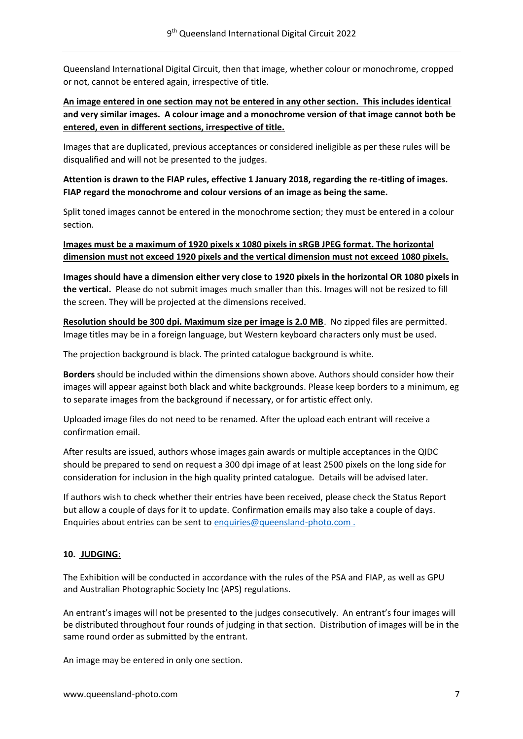Queensland International Digital Circuit, then that image, whether colour or monochrome, cropped or not, cannot be entered again, irrespective of title.

# **An image entered in one section may not be entered in any other section. This includes identical and very similar images. A colour image and a monochrome version of that image cannot both be entered, even in different sections, irrespective of title.**

Images that are duplicated, previous acceptances or considered ineligible as per these rules will be disqualified and will not be presented to the judges.

# **Attention is drawn to the FIAP rules, effective 1 January 2018, regarding the re-titling of images. FIAP regard the monochrome and colour versions of an image as being the same.**

Split toned images cannot be entered in the monochrome section; they must be entered in a colour section.

# **Images must be a maximum of 1920 pixels x 1080 pixels in sRGB JPEG format. The horizontal dimension must not exceed 1920 pixels and the vertical dimension must not exceed 1080 pixels.**

**Images should have a dimension either very close to 1920 pixels in the horizontal OR 1080 pixels in the vertical.** Please do not submit images much smaller than this. Images will not be resized to fill the screen. They will be projected at the dimensions received.

**Resolution should be 300 dpi. Maximum size per image is 2.0 MB**. No zipped files are permitted. Image titles may be in a foreign language, but Western keyboard characters only must be used.

The projection background is black. The printed catalogue background is white.

**Borders** should be included within the dimensions shown above. Authors should consider how their images will appear against both black and white backgrounds. Please keep borders to a minimum, eg to separate images from the background if necessary, or for artistic effect only.

Uploaded image files do not need to be renamed. After the upload each entrant will receive a confirmation email.

After results are issued, authors whose images gain awards or multiple acceptances in the QIDC should be prepared to send on request a 300 dpi image of at least 2500 pixels on the long side for consideration for inclusion in the high quality printed catalogue. Details will be advised later.

If authors wish to check whether their entries have been received, please check the Status Report but allow a couple of days for it to update. Confirmation emails may also take a couple of days. Enquiries about entries can be sent to enquiries@queensland-photo.com.

# **10. JUDGING:**

The Exhibition will be conducted in accordance with the rules of the PSA and FIAP, as well as GPU and Australian Photographic Society Inc (APS) regulations.

An entrant's images will not be presented to the judges consecutively. An entrant's four images will be distributed throughout four rounds of judging in that section. Distribution of images will be in the same round order as submitted by the entrant.

An image may be entered in only one section.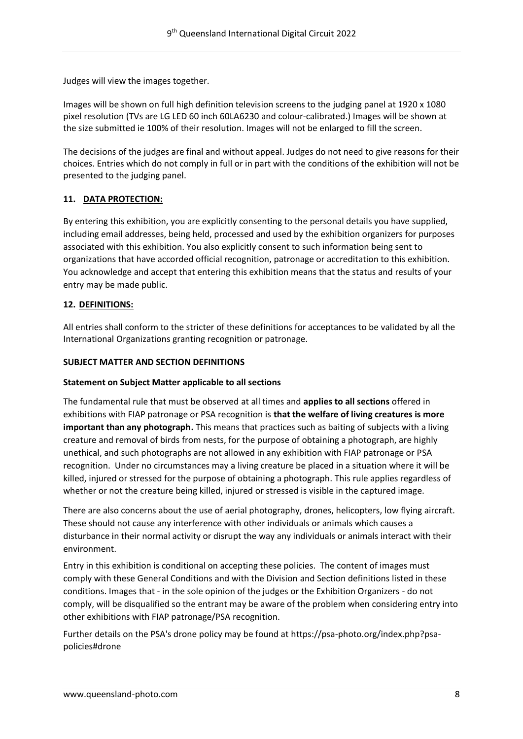Judges will view the images together.

Images will be shown on full high definition television screens to the judging panel at 1920 x 1080 pixel resolution (TVs are LG LED 60 inch 60LA6230 and colour-calibrated.) Images will be shown at the size submitted ie 100% of their resolution. Images will not be enlarged to fill the screen.

The decisions of the judges are final and without appeal. Judges do not need to give reasons for their choices. Entries which do not comply in full or in part with the conditions of the exhibition will not be presented to the judging panel.

# **11. DATA PROTECTION:**

By entering this exhibition, you are explicitly consenting to the personal details you have supplied, including email addresses, being held, processed and used by the exhibition organizers for purposes associated with this exhibition. You also explicitly consent to such information being sent to organizations that have accorded official recognition, patronage or accreditation to this exhibition. You acknowledge and accept that entering this exhibition means that the status and results of your entry may be made public.

#### **12. DEFINITIONS:**

All entries shall conform to the stricter of these definitions for acceptances to be validated by all the International Organizations granting recognition or patronage.

#### **SUBJECT MATTER AND SECTION DEFINITIONS**

#### **Statement on Subject Matter applicable to all sections**

The fundamental rule that must be observed at all times and **applies to all sections** offered in exhibitions with FIAP patronage or PSA recognition is **that the welfare of living creatures is more important than any photograph.** This means that practices such as baiting of subjects with a living creature and removal of birds from nests, for the purpose of obtaining a photograph, are highly unethical, and such photographs are not allowed in any exhibition with FIAP patronage or PSA recognition. Under no circumstances may a living creature be placed in a situation where it will be killed, injured or stressed for the purpose of obtaining a photograph. This rule applies regardless of whether or not the creature being killed, injured or stressed is visible in the captured image.

There are also concerns about the use of aerial photography, drones, helicopters, low flying aircraft. These should not cause any interference with other individuals or animals which causes a disturbance in their normal activity or disrupt the way any individuals or animals interact with their environment.

Entry in this exhibition is conditional on accepting these policies. The content of images must comply with these General Conditions and with the Division and Section definitions listed in these conditions. Images that - in the sole opinion of the judges or the Exhibition Organizers - do not comply, will be disqualified so the entrant may be aware of the problem when considering entry into other exhibitions with FIAP patronage/PSA recognition.

Further details on the PSA's drone policy may be found at [https://psa-photo.org/index.php?psa](https://psa-photo.org/index.php?psa-policies%23drone)[policies#drone](https://psa-photo.org/index.php?psa-policies%23drone)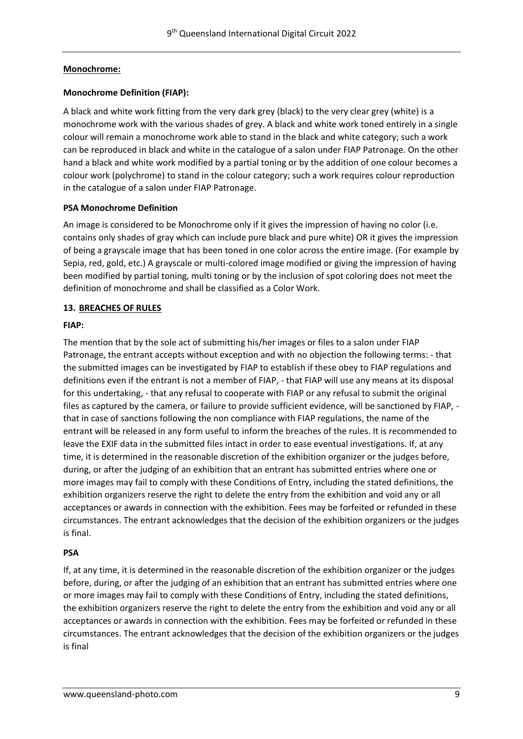### **Monochrome:**

#### **Monochrome Definition (FIAP):**

A black and white work fitting from the very dark grey (black) to the very clear grey (white) is a monochrome work with the various shades of grey. A black and white work toned entirely in a single colour will remain a monochrome work able to stand in the black and white category; such a work can be reproduced in black and white in the catalogue of a salon under FIAP Patronage. On the other hand a black and white work modified by a partial toning or by the addition of one colour becomes a colour work (polychrome) to stand in the colour category; such a work requires colour reproduction in the catalogue of a salon under FIAP Patronage.

#### **PSA Monochrome Definition**

An image is considered to be Monochrome only if it gives the impression of having no color (i.e. contains only shades of gray which can include pure black and pure white) OR it gives the impression of being a grayscale image that has been toned in one color across the entire image. (For example by Sepia, red, gold, etc.) A grayscale or multi-colored image modified or giving the impression of having been modified by partial toning, multi toning or by the inclusion of spot coloring does not meet the definition of monochrome and shall be classified as a Color Work.

#### **13. BREACHES OF RULES**

#### **FIAP:**

The mention that by the sole act of submitting his/her images or files to a salon under FIAP Patronage, the entrant accepts without exception and with no objection the following terms: - that the submitted images can be investigated by FIAP to establish if these obey to FIAP regulations and definitions even if the entrant is not a member of FIAP, - that FIAP will use any means at its disposal for this undertaking, - that any refusal to cooperate with FIAP or any refusal to submit the original files as captured by the camera, or failure to provide sufficient evidence, will be sanctioned by FIAP, that in case of sanctions following the non compliance with FIAP regulations, the name of the entrant will be released in any form useful to inform the breaches of the rules. It is recommended to leave the EXIF data in the submitted files intact in order to ease eventual investigations. If, at any time, it is determined in the reasonable discretion of the exhibition organizer or the judges before, during, or after the judging of an exhibition that an entrant has submitted entries where one or more images may fail to comply with these Conditions of Entry, including the stated definitions, the exhibition organizers reserve the right to delete the entry from the exhibition and void any or all acceptances or awards in connection with the exhibition. Fees may be forfeited or refunded in these circumstances. The entrant acknowledges that the decision of the exhibition organizers or the judges is final.

#### **PSA**

If, at any time, it is determined in the reasonable discretion of the exhibition organizer or the judges before, during, or after the judging of an exhibition that an entrant has submitted entries where one or more images may fail to comply with these Conditions of Entry, including the stated definitions, the exhibition organizers reserve the right to delete the entry from the exhibition and void any or all acceptances or awards in connection with the exhibition. Fees may be forfeited or refunded in these circumstances. The entrant acknowledges that the decision of the exhibition organizers or the judges is final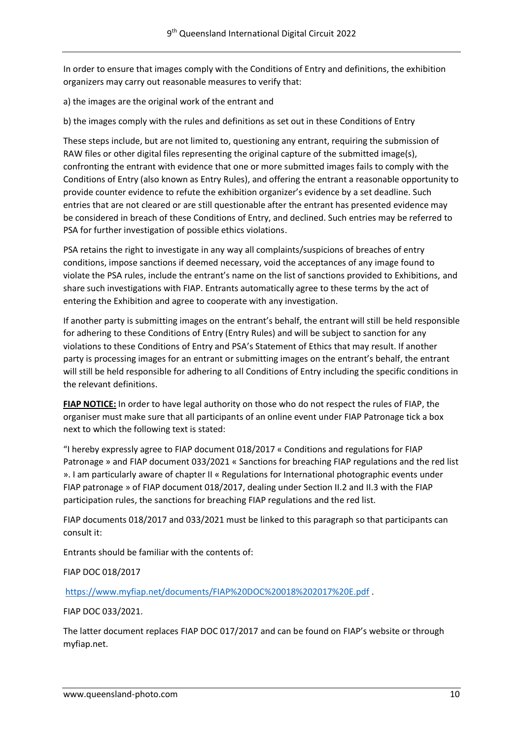In order to ensure that images comply with the Conditions of Entry and definitions, the exhibition organizers may carry out reasonable measures to verify that:

a) the images are the original work of the entrant and

b) the images comply with the rules and definitions as set out in these Conditions of Entry

These steps include, but are not limited to, questioning any entrant, requiring the submission of RAW files or other digital files representing the original capture of the submitted image(s), confronting the entrant with evidence that one or more submitted images fails to comply with the Conditions of Entry (also known as Entry Rules), and offering the entrant a reasonable opportunity to provide counter evidence to refute the exhibition organizer's evidence by a set deadline. Such entries that are not cleared or are still questionable after the entrant has presented evidence may be considered in breach of these Conditions of Entry, and declined. Such entries may be referred to PSA for further investigation of possible ethics violations.

PSA retains the right to investigate in any way all complaints/suspicions of breaches of entry conditions, impose sanctions if deemed necessary, void the acceptances of any image found to violate the PSA rules, include the entrant's name on the list of sanctions provided to Exhibitions, and share such investigations with FIAP. Entrants automatically agree to these terms by the act of entering the Exhibition and agree to cooperate with any investigation.

If another party is submitting images on the entrant's behalf, the entrant will still be held responsible for adhering to these Conditions of Entry (Entry Rules) and will be subject to sanction for any violations to these Conditions of Entry and PSA's Statement of Ethics that may result. If another party is processing images for an entrant or submitting images on the entrant's behalf, the entrant will still be held responsible for adhering to all Conditions of Entry including the specific conditions in the relevant definitions.

**FIAP NOTICE:** In order to have legal authority on those who do not respect the rules of FIAP, the organiser must make sure that all participants of an online event under FIAP Patronage tick a box next to which the following text is stated:

"I hereby expressly agree to FIAP document 018/2017 « Conditions and regulations for FIAP Patronage » and FIAP document 033/2021 « Sanctions for breaching FIAP regulations and the red list ». I am particularly aware of chapter II « Regulations for International photographic events under FIAP patronage » of FIAP document 018/2017, dealing under Section II.2 and II.3 with the FIAP participation rules, the sanctions for breaching FIAP regulations and the red list.

FIAP documents 018/2017 and 033/2021 must be linked to this paragraph so that participants can consult it:

Entrants should be familiar with the contents of:

FIAP DOC 018/2017

<https://www.myfiap.net/documents/FIAP%20DOC%20018%202017%20E.pdf> .

FIAP DOC 033/2021.

The latter document replaces FIAP DOC 017/2017 and can be found on FIAP's website or through myfiap.net.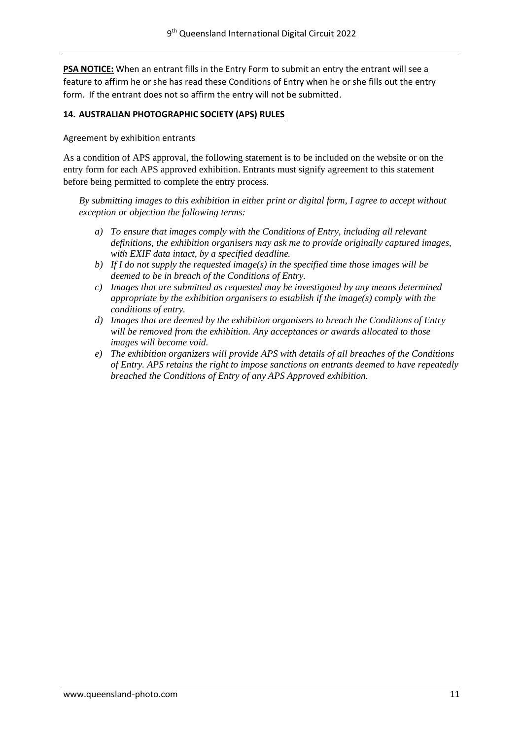**PSA NOTICE:** When an entrant fills in the Entry Form to submit an entry the entrant will see a feature to affirm he or she has read these Conditions of Entry when he or she fills out the entry form. If the entrant does not so affirm the entry will not be submitted.

#### **14. AUSTRALIAN PHOTOGRAPHIC SOCIETY (APS) RULES**

Agreement by exhibition entrants

As a condition of APS approval, the following statement is to be included on the website or on the entry form for each APS approved exhibition. Entrants must signify agreement to this statement before being permitted to complete the entry process.

*By submitting images to this exhibition in either print or digital form, I agree to accept without exception or objection the following terms:*

- *a) To ensure that images comply with the Conditions of Entry, including all relevant definitions, the exhibition organisers may ask me to provide originally captured images, with EXIF data intact, by a specified deadline.*
- *b*) If I do not supply the requested image(s) in the specified time those images will be *deemed to be in breach of the Conditions of Entry.*
- *c) Images that are submitted as requested may be investigated by any means determined appropriate by the exhibition organisers to establish if the image(s) comply with the conditions of entry.*
- *d) Images that are deemed by the exhibition organisers to breach the Conditions of Entry will be removed from the exhibition. Any acceptances or awards allocated to those images will become void.*
- *e) The exhibition organizers will provide APS with details of all breaches of the Conditions of Entry. APS retains the right to impose sanctions on entrants deemed to have repeatedly breached the Conditions of Entry of any APS Approved exhibition.*